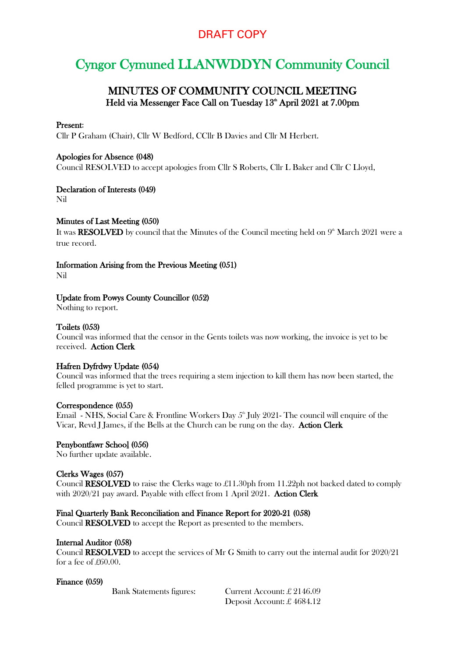# DRAFT COPY

# Cyngor Cymuned LLANWDDYN Community Council

# MINUTES OF COMMUNITY COUNCIL MEETING Held via Messenger Face Call on Tuesday 13<sup>th</sup> April 2021 at 7.00pm

#### Present:

Cllr P Graham (Chair), Cllr W Bedford, CCllr B Davies and Cllr M Herbert.

# Apologies for Absence (048)

Council RESOLVED to accept apologies from Cllr S Roberts, Cllr L Baker and Cllr C Lloyd,

# Declaration of Interests (049)

Nil

# Minutes of Last Meeting (050)

It was  $\textbf{RESOLVED}$  by council that the Minutes of the Council meeting held on  $9^\text{\tiny th}$  March 2021 were a true record.

# Information Arising from the Previous Meeting (051)

Nil

# Update from Powys County Councillor (052)

Nothing to report.

# Toilets (053)

Council was informed that the censor in the Gents toilets was now working, the invoice is yet to be received. Action Clerk

# Hafren Dyfrdwy Update (054)

Council was informed that the trees requiring a stem injection to kill them has now been started, the felled programme is yet to start.

#### Correspondence (055)

Email - NHS, Social Care & Frontline Workers Day  $5^{\text{th}}$  July 2021- The council will enquire of the Vicar, Revd J James, if the Bells at the Church can be rung on the day. Action Clerk

# Penybontfawr School (056)

No further update available.

#### Clerks Wages (057)

Council RESOLVED to raise the Clerks wage to £11.30ph from 11.22ph not backed dated to comply with 2020/21 pay award. Payable with effect from 1 April 2021. Action Clerk

#### Final Quarterly Bank Reconciliation and Finance Report for 2020-21 (058)

Council RESOLVED to accept the Report as presented to the members.

#### Internal Auditor (058)

Council RESOLVED to accept the services of Mr G Smith to carry out the internal audit for 2020/21 for a fee of £60.00.

#### Finance (059)

Bank Statements figures: Current Account: £ 2146.09 Deposit Account: £ 4684.12